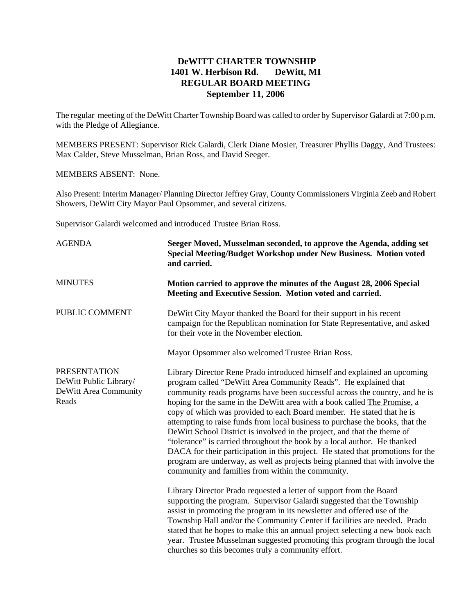## **DeWITT CHARTER TOWNSHIP 1401 W. Herbison Rd. DeWitt, MI REGULAR BOARD MEETING September 11, 2006**

The regular meeting of the DeWitt Charter Township Board was called to order by Supervisor Galardi at 7:00 p.m. with the Pledge of Allegiance.

MEMBERS PRESENT: Supervisor Rick Galardi, Clerk Diane Mosier, Treasurer Phyllis Daggy, And Trustees: Max Calder, Steve Musselman, Brian Ross, and David Seeger.

MEMBERS ABSENT: None.

Also Present: Interim Manager/ Planning Director Jeffrey Gray, County Commissioners Virginia Zeeb and Robert Showers, DeWitt City Mayor Paul Opsommer, and several citizens.

Supervisor Galardi welcomed and introduced Trustee Brian Ross.

| <b>AGENDA</b>                                                                   | Seeger Moved, Musselman seconded, to approve the Agenda, adding set<br>Special Meeting/Budget Workshop under New Business. Motion voted<br>and carried.                                                                                                                                                                                                                                                                                                                                                                                                                                                                                                                                                                                                                                                                                            |
|---------------------------------------------------------------------------------|----------------------------------------------------------------------------------------------------------------------------------------------------------------------------------------------------------------------------------------------------------------------------------------------------------------------------------------------------------------------------------------------------------------------------------------------------------------------------------------------------------------------------------------------------------------------------------------------------------------------------------------------------------------------------------------------------------------------------------------------------------------------------------------------------------------------------------------------------|
| <b>MINUTES</b>                                                                  | Motion carried to approve the minutes of the August 28, 2006 Special<br>Meeting and Executive Session. Motion voted and carried.                                                                                                                                                                                                                                                                                                                                                                                                                                                                                                                                                                                                                                                                                                                   |
| PUBLIC COMMENT                                                                  | DeWitt City Mayor thanked the Board for their support in his recent<br>campaign for the Republican nomination for State Representative, and asked<br>for their vote in the November election.                                                                                                                                                                                                                                                                                                                                                                                                                                                                                                                                                                                                                                                      |
|                                                                                 | Mayor Opsommer also welcomed Trustee Brian Ross.                                                                                                                                                                                                                                                                                                                                                                                                                                                                                                                                                                                                                                                                                                                                                                                                   |
| <b>PRESENTATION</b><br>DeWitt Public Library/<br>DeWitt Area Community<br>Reads | Library Director Rene Prado introduced himself and explained an upcoming<br>program called "DeWitt Area Community Reads". He explained that<br>community reads programs have been successful across the country, and he is<br>hoping for the same in the DeWitt area with a book called The Promise, a<br>copy of which was provided to each Board member. He stated that he is<br>attempting to raise funds from local business to purchase the books, that the<br>De Witt School District is involved in the project, and that the theme of<br>"tolerance" is carried throughout the book by a local author. He thanked<br>DACA for their participation in this project. He stated that promotions for the<br>program are underway, as well as projects being planned that with involve the<br>community and families from within the community. |
|                                                                                 | Library Director Prado requested a letter of support from the Board<br>supporting the program. Supervisor Galardi suggested that the Township<br>assist in promoting the program in its newsletter and offered use of the<br>Township Hall and/or the Community Center if facilities are needed. Prado<br>stated that he hopes to make this an annual project selecting a new book each<br>year. Trustee Musselman suggested promoting this program through the local<br>churches so this becomes truly a community effort.                                                                                                                                                                                                                                                                                                                        |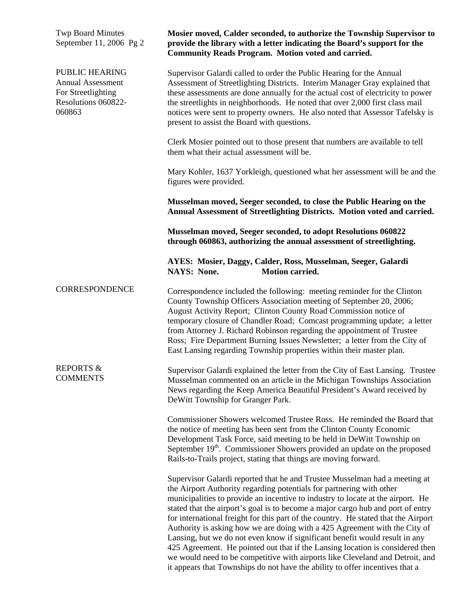Twp Board Minutes September 11, 2006 Pg 2

PUBLIC HEARING Annual Assessment For Streetlighting Resolutions 060822- 060863

**Mosier moved, Calder seconded, to authorize the Township Supervisor to provide the library with a letter indicating the Board's support for the Community Reads Program. Motion voted and carried.** 

Supervisor Galardi called to order the Public Hearing for the Annual Assessment of Streetlighting Districts. Interim Manager Gray explained that these assessments are done annually for the actual cost of electricity to power the streetlights in neighborhoods. He noted that over 2,000 first class mail notices were sent to property owners. He also noted that Assessor Tafelsky is present to assist the Board with questions.

Clerk Mosier pointed out to those present that numbers are available to tell them what their actual assessment will be.

Mary Kohler, 1637 Yorkleigh, questioned what her assessment will be and the figures were provided.

**Musselman moved, Seeger seconded, to close the Public Hearing on the Annual Assessment of Streetlighting Districts. Motion voted and carried.** 

**Musselman moved, Seeger seconded, to adopt Resolutions 060822 through 060863, authorizing the annual assessment of streetlighting.** 

**AYES: Mosier, Daggy, Calder, Ross, Musselman, Seeger, Galardi NAYS: None.** Motion carried.

**CORRESPONDENCE** Correspondence included the following: meeting reminder for the Clinton County Township Officers Association meeting of September 20, 2006; August Activity Report; Clinton County Road Commission notice of temporary closure of Chandler Road; Comcast programming update; a letter from Attorney J. Richard Robinson regarding the appointment of Trustee Ross; Fire Department Burning Issues Newsletter; a letter from the City of East Lansing regarding Township properties within their master plan.

REPORTS & **COMMENTS** Supervisor Galardi explained the letter from the City of East Lansing. Trustee Musselman commented on an article in the Michigan Townships Association News regarding the Keep America Beautiful President's Award received by DeWitt Township for Granger Park.

> Commissioner Showers welcomed Trustee Ross. He reminded the Board that the notice of meeting has been sent from the Clinton County Economic Development Task Force, said meeting to be held in DeWitt Township on September 19<sup>th</sup>. Commissioner Showers provided an update on the proposed Rails-to-Trails project, stating that things are moving forward.

> Supervisor Galardi reported that he and Trustee Musselman had a meeting at the Airport Authority regarding potentials for partnering with other municipalities to provide an incentive to industry to locate at the airport. He stated that the airport's goal is to become a major cargo hub and port of entry for international freight for this part of the country. He stated that the Airport Authority is asking how we are doing with a 425 Agreement with the City of Lansing, but we do not even know if significant benefit would result in any 425 Agreement. He pointed out that if the Lansing location is considered then we would need to be competitive with airports like Cleveland and Detroit, and it appears that Townships do not have the ability to offer incentives that a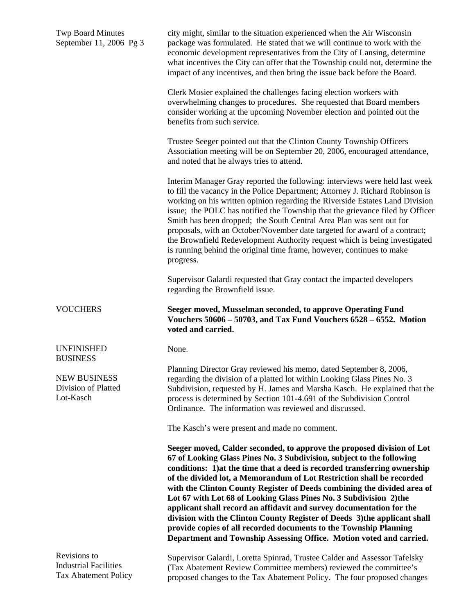| <b>Twp Board Minutes</b><br>September 11, 2006 Pg 3     | city might, similar to the situation experienced when the Air Wisconsin<br>package was formulated. He stated that we will continue to work with the<br>economic development representatives from the City of Lansing, determine<br>what incentives the City can offer that the Township could not, determine the<br>impact of any incentives, and then bring the issue back before the Board.                                                                                                                                                                                                                                                                                                                                                           |
|---------------------------------------------------------|---------------------------------------------------------------------------------------------------------------------------------------------------------------------------------------------------------------------------------------------------------------------------------------------------------------------------------------------------------------------------------------------------------------------------------------------------------------------------------------------------------------------------------------------------------------------------------------------------------------------------------------------------------------------------------------------------------------------------------------------------------|
|                                                         | Clerk Mosier explained the challenges facing election workers with<br>overwhelming changes to procedures. She requested that Board members<br>consider working at the upcoming November election and pointed out the<br>benefits from such service.                                                                                                                                                                                                                                                                                                                                                                                                                                                                                                     |
|                                                         | Trustee Seeger pointed out that the Clinton County Township Officers<br>Association meeting will be on September 20, 2006, encouraged attendance,<br>and noted that he always tries to attend.                                                                                                                                                                                                                                                                                                                                                                                                                                                                                                                                                          |
|                                                         | Interim Manager Gray reported the following: interviews were held last week<br>to fill the vacancy in the Police Department; Attorney J. Richard Robinson is<br>working on his written opinion regarding the Riverside Estates Land Division<br>issue; the POLC has notified the Township that the grievance filed by Officer<br>Smith has been dropped; the South Central Area Plan was sent out for<br>proposals, with an October/November date targeted for award of a contract;<br>the Brownfield Redevelopment Authority request which is being investigated<br>is running behind the original time frame, however, continues to make<br>progress.                                                                                                 |
|                                                         | Supervisor Galardi requested that Gray contact the impacted developers<br>regarding the Brownfield issue.                                                                                                                                                                                                                                                                                                                                                                                                                                                                                                                                                                                                                                               |
|                                                         |                                                                                                                                                                                                                                                                                                                                                                                                                                                                                                                                                                                                                                                                                                                                                         |
| <b>VOUCHERS</b>                                         | Seeger moved, Musselman seconded, to approve Operating Fund<br>Vouchers 50606 - 50703, and Tax Fund Vouchers 6528 - 6552. Motion<br>voted and carried.                                                                                                                                                                                                                                                                                                                                                                                                                                                                                                                                                                                                  |
| <b>UNFINISHED</b><br><b>BUSINESS</b>                    | None.                                                                                                                                                                                                                                                                                                                                                                                                                                                                                                                                                                                                                                                                                                                                                   |
| <b>NEW BUSINESS</b><br>Division of Platted<br>Lot-Kasch | Planning Director Gray reviewed his memo, dated September 8, 2006,<br>regarding the division of a platted lot within Looking Glass Pines No. 3<br>Subdivision, requested by H. James and Marsha Kasch. He explained that the<br>process is determined by Section 101-4.691 of the Subdivision Control<br>Ordinance. The information was reviewed and discussed.                                                                                                                                                                                                                                                                                                                                                                                         |
|                                                         | The Kasch's were present and made no comment.                                                                                                                                                                                                                                                                                                                                                                                                                                                                                                                                                                                                                                                                                                           |
|                                                         | Seeger moved, Calder seconded, to approve the proposed division of Lot<br>67 of Looking Glass Pines No. 3 Subdivision, subject to the following<br>conditions: 1) at the time that a deed is recorded transferring ownership<br>of the divided lot, a Memorandum of Lot Restriction shall be recorded<br>with the Clinton County Register of Deeds combining the divided area of<br>Lot 67 with Lot 68 of Looking Glass Pines No. 3 Subdivision 2) the<br>applicant shall record an affidavit and survey documentation for the<br>division with the Clinton County Register of Deeds 3) the applicant shall<br>provide copies of all recorded documents to the Township Planning<br>Department and Township Assessing Office. Motion voted and carried. |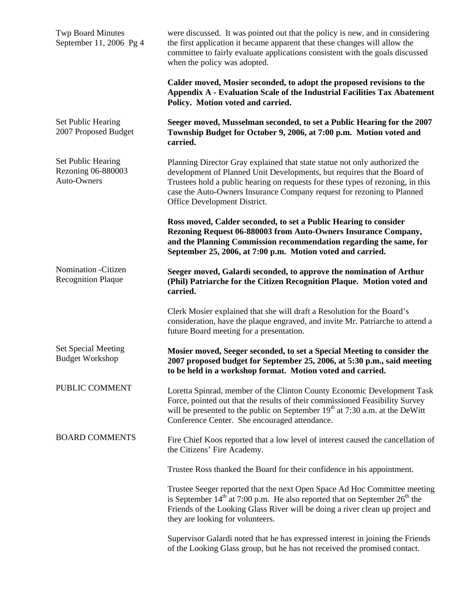| <b>Twp Board Minutes</b><br>September 11, 2006 Pg 4            | were discussed. It was pointed out that the policy is new, and in considering<br>the first application it became apparent that these changes will allow the<br>committee to fairly evaluate applications consistent with the goals discussed<br>when the policy was adopted.                                                                        |
|----------------------------------------------------------------|-----------------------------------------------------------------------------------------------------------------------------------------------------------------------------------------------------------------------------------------------------------------------------------------------------------------------------------------------------|
|                                                                | Calder moved, Mosier seconded, to adopt the proposed revisions to the<br>Appendix A - Evaluation Scale of the Industrial Facilities Tax Abatement<br>Policy. Motion voted and carried.                                                                                                                                                              |
| Set Public Hearing<br>2007 Proposed Budget                     | Seeger moved, Musselman seconded, to set a Public Hearing for the 2007<br>Township Budget for October 9, 2006, at 7:00 p.m. Motion voted and<br>carried.                                                                                                                                                                                            |
| <b>Set Public Hearing</b><br>Rezoning 06-880003<br>Auto-Owners | Planning Director Gray explained that state statue not only authorized the<br>development of Planned Unit Developments, but requires that the Board of<br>Trustees hold a public hearing on requests for these types of rezoning, in this<br>case the Auto-Owners Insurance Company request for rezoning to Planned<br>Office Development District. |
|                                                                | Ross moved, Calder seconded, to set a Public Hearing to consider<br>Rezoning Request 06-880003 from Auto-Owners Insurance Company,<br>and the Planning Commission recommendation regarding the same, for<br>September 25, 2006, at 7:00 p.m. Motion voted and carried.                                                                              |
| Nomination - Citizen<br><b>Recognition Plaque</b>              | Seeger moved, Galardi seconded, to approve the nomination of Arthur<br>(Phil) Patriarche for the Citizen Recognition Plaque. Motion voted and<br>carried.                                                                                                                                                                                           |
|                                                                | Clerk Mosier explained that she will draft a Resolution for the Board's<br>consideration, have the plaque engraved, and invite Mr. Patriarche to attend a<br>future Board meeting for a presentation.                                                                                                                                               |
| Set Special Meeting<br><b>Budget Workshop</b>                  | Mosier moved, Seeger seconded, to set a Special Meeting to consider the<br>2007 proposed budget for September 25, 2006, at 5:30 p.m., said meeting<br>to be held in a workshop format. Motion voted and carried.                                                                                                                                    |
| PUBLIC COMMENT                                                 | Loretta Spinrad, member of the Clinton County Economic Development Task<br>Force, pointed out that the results of their commissioned Feasibility Survey<br>will be presented to the public on September $19th$ at 7:30 a.m. at the DeWitt<br>Conference Center. She encouraged attendance.                                                          |
| <b>BOARD COMMENTS</b>                                          | Fire Chief Koos reported that a low level of interest caused the cancellation of<br>the Citizens' Fire Academy.                                                                                                                                                                                                                                     |
|                                                                | Trustee Ross thanked the Board for their confidence in his appointment.                                                                                                                                                                                                                                                                             |
|                                                                | Trustee Seeger reported that the next Open Space Ad Hoc Committee meeting<br>is September $14th$ at 7:00 p.m. He also reported that on September $26th$ the<br>Friends of the Looking Glass River will be doing a river clean up project and<br>they are looking for volunteers.                                                                    |
|                                                                | Supervisor Galardi noted that he has expressed interest in joining the Friends<br>of the Looking Glass group, but he has not received the promised contact.                                                                                                                                                                                         |